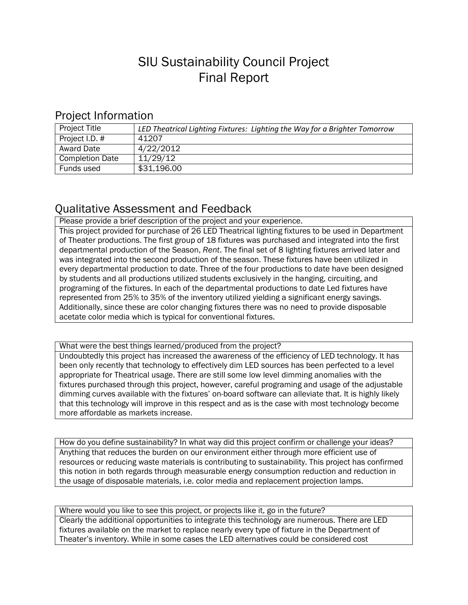## SIU Sustainability Council Project Final Report

## Project Information

| <b>Project Title</b>   | LED Theatrical Lighting Fixtures: Lighting the Way for a Brighter Tomorrow |
|------------------------|----------------------------------------------------------------------------|
| Project I.D. #         | 41207                                                                      |
| <b>Award Date</b>      | 4/22/2012                                                                  |
| <b>Completion Date</b> | 11/29/12                                                                   |
| Funds used             | \$31,196.00                                                                |

## Qualitative Assessment and Feedback

Please provide a brief description of the project and your experience.

This project provided for purchase of 26 LED Theatrical lighting fixtures to be used in Department of Theater productions. The first group of 18 fixtures was purchased and integrated into the first departmental production of the Season, *Rent*. The final set of 8 lighting fixtures arrived later and was integrated into the second production of the season. These fixtures have been utilized in every departmental production to date. Three of the four productions to date have been designed by students and all productions utilized students exclusively in the hanging, circuiting, and programing of the fixtures. In each of the departmental productions to date Led fixtures have represented from 25% to 35% of the inventory utilized yielding a significant energy savings. Additionally, since these are color changing fixtures there was no need to provide disposable acetate color media which is typical for conventional fixtures.

What were the best things learned/produced from the project?

Undoubtedly this project has increased the awareness of the efficiency of LED technology. It has been only recently that technology to effectively dim LED sources has been perfected to a level appropriate for Theatrical usage. There are still some low level dimming anomalies with the fixtures purchased through this project, however, careful programing and usage of the adjustable dimming curves available with the fixtures' on-board software can alleviate that. It is highly likely that this technology will improve in this respect and as is the case with most technology become more affordable as markets increase.

How do you define sustainability? In what way did this project confirm or challenge your ideas? Anything that reduces the burden on our environment either through more efficient use of resources or reducing waste materials is contributing to sustainability. This project has confirmed this notion in both regards through measurable energy consumption reduction and reduction in the usage of disposable materials, i.e. color media and replacement projection lamps.

Where would you like to see this project, or projects like it, go in the future? Clearly the additional opportunities to integrate this technology are numerous. There are LED fixtures available on the market to replace nearly every type of fixture in the Department of Theater's inventory. While in some cases the LED alternatives could be considered cost